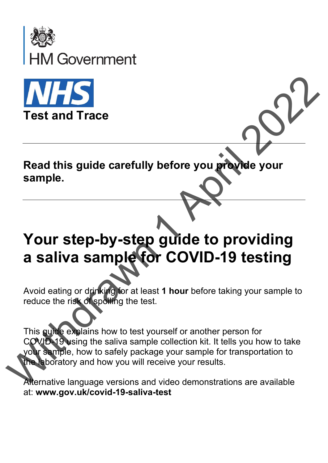



**Read this guide carefully before you provide your sample.**  $\frac{1}{2}$ <br>  $\frac{1}{2}$ <br>  $\frac{1}{2}$ <br>  $\frac{1}{2}$ <br>  $\frac{1}{2}$ <br>  $\frac{1}{2}$ <br>  $\frac{1}{2}$ <br>  $\frac{1}{2}$ <br>  $\frac{1}{2}$ <br>  $\frac{1}{2}$ <br>  $\frac{1}{2}$ <br>  $\frac{1}{2}$ <br>  $\frac{1}{2}$ <br>  $\frac{1}{2}$ <br>  $\frac{1}{2}$ <br>  $\frac{1}{2}$ <br>  $\frac{1}{2}$ <br>  $\frac{1}{2}$ <br>  $\frac{1}{2}$ <br>  $\frac{1}{2}$ <br>

## **Your step-by-step guide to providing a saliva sample for COVID-19 testing**

Avoid eating or drinking for at least **1 hour** before taking your sample to reduce the risk of spoiling the test.

This guide explains how to test yourself or another person for COVID-19 using the saliva sample collection kit. It tells you how to take your sample, how to safely package your sample for transportation to the laboratory and how you will receive your results. **a saliva sample for (**<br>Avoid eating or drinking for at least 1<br>reduce the risk of spoiling the test.<br>This guide explains how to test yours<br>COVID-19 using the saliva sample co<br>your sample, how to safely package your sample

Alternative language versions and video demonstrations are available at: **www.gov.uk/covid-19-saliva-test**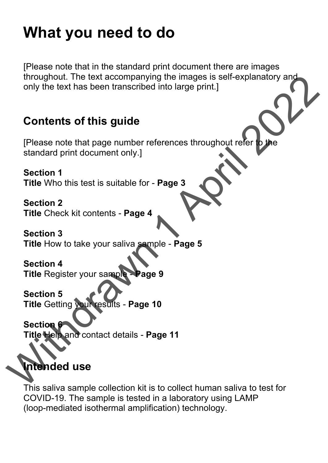## **What you need to do**

[Please note that in the standard print document there are images throughout. The text accompanying the images is self-explanatory and only the text has been transcribed into large print.]

### **Contents of this guide**

[Please note that page number references throughout refer to the standard print document only.] throughout. The text accompanying the images is self-explanatory<br>only the text has been transcribed into large print.]<br>
Contents of this guide<br>
[Please note that page number references throughout refer please<br>
standard pri

**Section 1**

**Title** Who this test is suitable for - **Page 3**

**Section 2**

**Title** Check kit contents - **Page 4**

**Section 3 Title** How to take your saliva sample - **Page 5**

**Section 4 Title** Register your sample - **Page 9**

**Section 5 Title** Getting your results - **Page 10**

**Section 6 Title** Help and contact details - **Page 11**

## **Intended use**

This saliva sample collection kit is to collect human saliva to test for COVID-19. The sample is tested in a laboratory using LAMP (loop-mediated isothermal amplification) technology.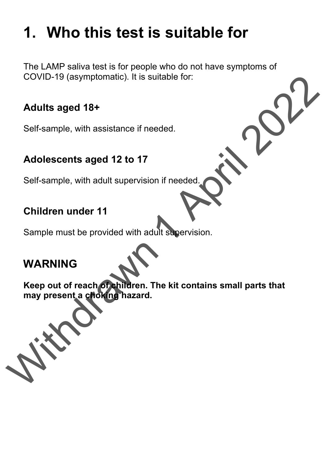## **1. Who this test is suitable for**

The LAMP saliva test is for people who do not have symptoms of COVID-19 (asymptomatic). It is suitable for:

#### **Adults aged 18+**

Self-sample, with assistance if needed.

#### **Adolescents aged 12 to 17**

Self-sample, with adult supervision if needed.

#### **Children under 11**

Sample must be provided with adult supervision.

## **WARNING**

**Keep out of reach of children. The kit contains small parts that may present a choking hazard.** COVID-19 (asymptomatic). It is suitable for:<br>
Adults aged 18+<br>
Self-sample, with assistance if needed.<br>
Adolescents aged 12 to 17<br>
Self-sample, with adult supervision if needed.<br>
Children under 11<br>
Sample must be provided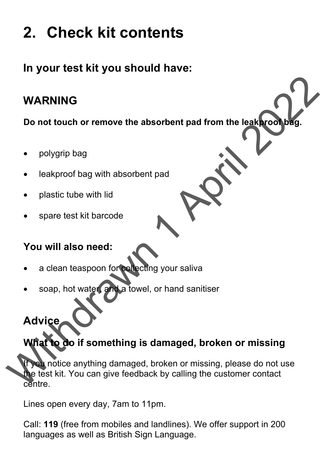# **2. Check kit contents**

## **In your test kit you should have:**

## **WARNING**

**Do not touch or remove the absorbent pad from the leakproof bag.**

- polygrip bag
- leakproof bag with absorbent pad
- plastic tube with lid
- spare test kit barcode

#### **You will also need:**

- a clean teaspoon for collecting your saliva
- soap, hot water, and a towel, or hand sanitiser

## **Advice**

## **What to do if something is damaged, broken or missing**

If you notice anything damaged, broken or missing, please do not use the test kit. You can give feedback by calling the customer contact centre. WARNING<br>
Do not touch or remove the absorbent pad from the leak wood bag.<br>
• polygrip bag<br>
• leakproof bag with absorbent pad<br>
• plastic tube with lid<br>
• spare test kit barcode<br>
• a clean teaspoon for a leading your saliva

Lines open every day, 7am to 11pm.

Call: **119** (free from mobiles and landlines). We offer support in 200 languages as well as British Sign Language.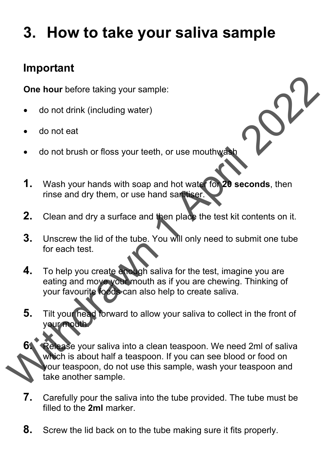## **3. How to take your saliva sample**

## **Important**

**One hour** before taking your sample:

- do not drink (including water)
- do not eat
- do not brush or floss your teeth, or use mouthwash
- **1.** Wash your hands with soap and hot water for **20 seconds**, then rinse and dry them, or use hand sanitiser.
- **2.** Clean and dry a surface and then place the test kit contents on it.
- **3.** Unscrew the lid of the tube. You will only need to submit one tube for each test.
- **4.** To help you create enough saliva for the test, imagine you are eating and move your mouth as if you are chewing. Thinking of your favourite foods can also help to create saliva.
- **5.** Tilt your head forward to allow your saliva to collect in the front of your mouth.

**6.** Release your saliva into a clean teaspoon. We need 2ml of saliva which is about half a teaspoon. If you can see blood or food on your teaspoon, do not use this sample, wash your teaspoon and take another sample. One hour before taking your sample:<br>
• do not drink (including water)<br>
• do not brush or floss your teeth, or use mouthweak<br>
1. Wash your hands with soap and hot water to be seconds, then<br>
rinse and dry them, or use hand s

- **7.** Carefully pour the saliva into the tube provided. The tube must be filled to the 2ml marker.
- **8.** Screw the lid back on to the tube making sure it fits properly.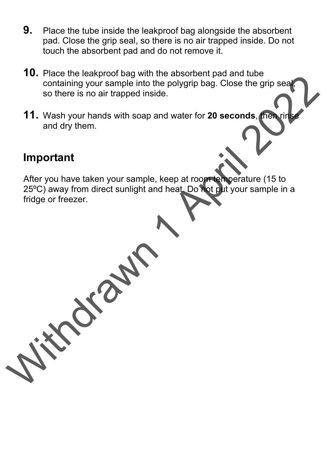- **9.** Place the tube inside the leakproof bag alongside the absorbent pad. Close the grip seal, so there is no air trapped inside. Do not touch the absorbent pad and do not remove it.
- **10.** Place the leakproof bag with the absorbent pad and tube containing your sample into the polygrip bag. Close the grip seal, so there is no air trapped inside.
- **11.** Wash your hands with soap and water for 20 seconds, then rin and dry them.

#### **Important**

After you have taken your sample, keep at room temperature (15 to 25ºC) away from direct sunlight and heat. Do not put your sample in a fridge or freezer. Containing your sample into the polygrip bag. Close the grip sear<br>
so there is no air trapped inside.<br>
11. Wash your hands with soap and water for 20 seconds. The grip sear<br>
and dry them.<br>
Important<br>
After you have taken y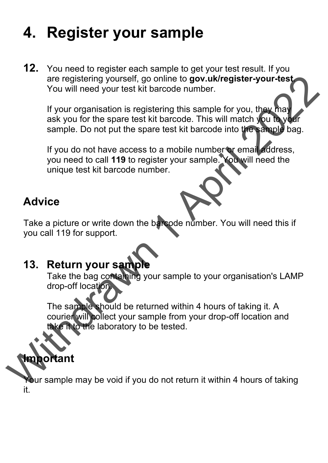## **4. Register your sample**

**12.** You need to register each sample to get your test result. If you are registering yourself, go online to **gov.uk/register-your-test**. You will need your test kit barcode number.

If your organisation is registering this sample for you, they may ask you for the spare test kit barcode. This will match you to your sample. Do not put the spare test kit barcode into the sample bag. online to gov.uk/register-your-test<br>parcode number.<br>tering this sample for you, they may<br>it barcode. This will match you to your<br>re test kit barcode into the sample bag.<br>co a mobile number or email address,<br>ister your samp

If you do not have access to a mobile number or email address, you need to call **119** to register your sample. You will need the unique test kit barcode number.

## **Advice**

Take a picture or write down the barcode number. You will need this if you call 119 for support.

**13. Return your sample**<br>Take the bag containing your sample to your organisation's LAMP drop-off location.

The sample should be returned within 4 hours of taking it. A courier will collect your sample from your drop-off location and take it to the laboratory to be tested. 13. Return your sample<br>
Take the bag containing your sample<br>
drop-off location<br>
The sample should be returned<br>
courier will collect your sample<br>
take it to the laboratory to be te<br>
take it to the laboratory to be te<br>
take

## **Important**

Your sample may be void if you do not return it within 4 hours of taking it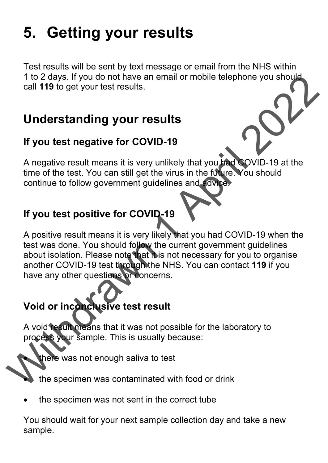# **5. Getting your results**

Test results will be sent by text message or email from the NHS within 1 to 2 days. If you do not have an email or mobile telephone you should call **119** to get your test results.

## **Understanding your results**

#### **If you test negative for COVID-19**

A negative result means it is very unlikely that you had COVID-19 at the time of the test. You can still get the virus in the future. You should continue to follow government guidelines and advice.

## **If you test positive for COVID-19**

A positive result means it is very likely that you had COVID-19 when the test was done. You should follow the current government guidelines about isolation. Please note that it is not necessary for you to organise another COVID-19 test through the NHS. You can contact **119** if you have any other questions or concerns. The Prophetical Transmission of the transmission of the specifier was not enough saily because.<br>
While the set will be the set with the set with the set with the set with the continue to file be to Nov can still get the wi

## **Void or inconclusive test result**

A void result means that it was not possible for the laboratory to process your sample. This is usually because:

there was not enough saliva to test

the specimen was contaminated with food or drink

the specimen was not sent in the correct tube

You should wait for your next sample collection day and take a new sample.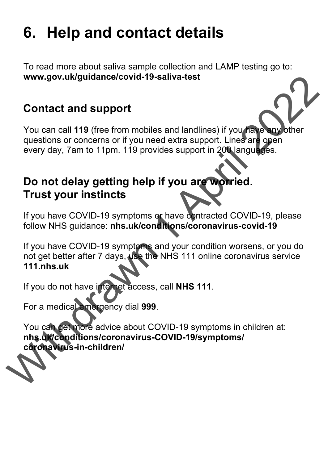## **6. Help and contact details**

To read more about saliva sample collection and LAMP testing go to: **www.gov.uk/guidance/covid-19-saliva-test** 

## **Contact and support**

You can call **119** (free from mobiles and landlines) if you have any other questions or concerns or if you need extra support. Lines are open every day, 7am to 11pm. 119 provides support in 200 languages.

## **Do not delay getting help if you are worried. Trust your instincts**

If you have COVID-19 symptoms or have contracted COVID-19, please follow NHS guidance: **nhs.uk/conditions/coronavirus-covid-19** 

If you have COVID-19 symptoms and your condition worsens, or you do not get better after 7 days, use the NHS 111 online coronavirus service **111.nhs.uk**  Wow.gov.uk/guidance/covid-19-saliva-test<br>
You can call 119 (free from mobiles and landlines) if you reaching<br>
questions or concerns of if you need extra support. Lines are<br>
every day, 7am to 11pm. 119 provides support in 2

If you do not have internet access, call **NHS 111**.

For a medical emergency dial **999**.

You can get more advice about COVID-19 symptoms in children at: **nhs.uk/conditions/coronavirus-COVID-19/symptoms/ coronavirus-in-children/**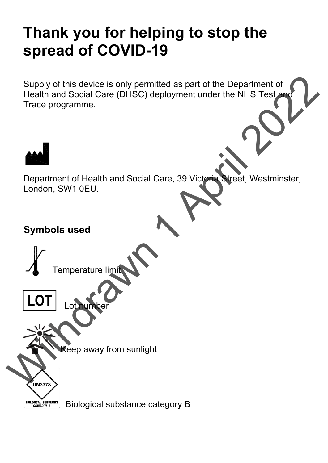## **Thank you for helping to stop the spread of COVID-19**

Supply of this device is only permitted as part of the Department of Health and Social Care (DHSC) deployment under the NHS Test and Trace programme. nitted as part of the Department of<br>deployment under the NHS Test and<br>Care, 39 Victoria Street, Westminster,



Department of Health and Social Care, 39 Victoria Street, Westminster, London, SW1 0EU.

#### **Symbols used**



Lot<sub>n</sub>

Keep away from sunlight

**BIOLOGICAL SUBSTANCE**<br>CATEGORY B

Biological substance category B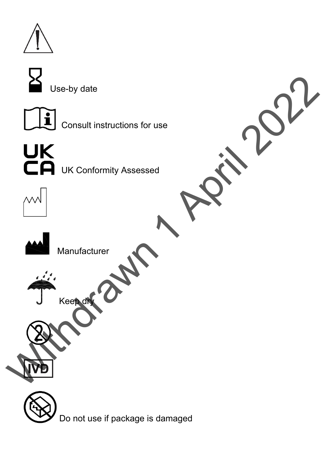

Use-by date



Consult instructions for use



**CA** UK Conformity Assessed